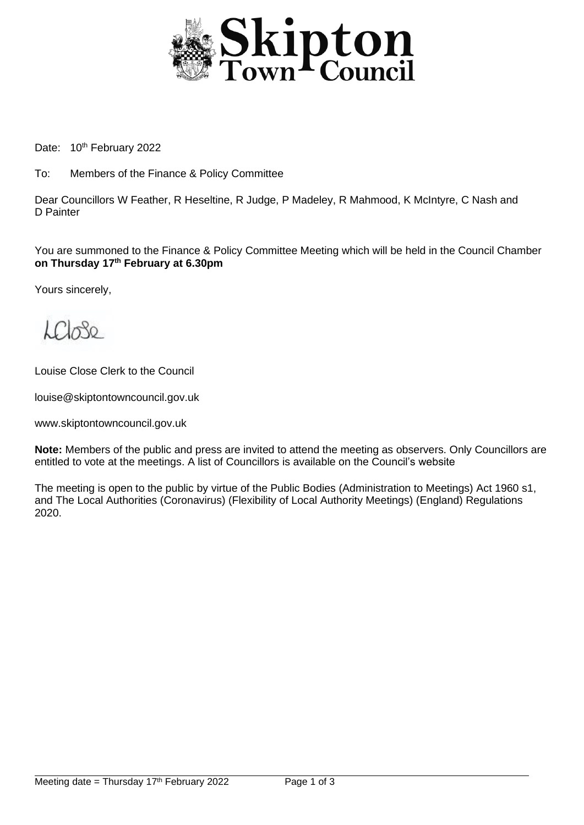

Date: 10<sup>th</sup> February 2022

To: Members of the Finance & Policy Committee

Dear Councillors W Feather, R Heseltine, R Judge, P Madeley, R Mahmood, K McIntyre, C Nash and D Painter

You are summoned to the Finance & Policy Committee Meeting which will be held in the Council Chamber **on Thursday 17 th February at 6.30pm**

Yours sincerely,

 $LCl_0$ 80

Louise Close Clerk to the Council

louise@skiptontowncouncil.gov.uk

www.skiptontowncouncil.gov.uk

**Note:** Members of the public and press are invited to attend the meeting as observers. Only Councillors are entitled to vote at the meetings. A list of Councillors is available on the Council's website

The meeting is open to the public by virtue of the Public Bodies (Administration to Meetings) Act 1960 s1, and The Local Authorities (Coronavirus) (Flexibility of Local Authority Meetings) (England) Regulations 2020.

j.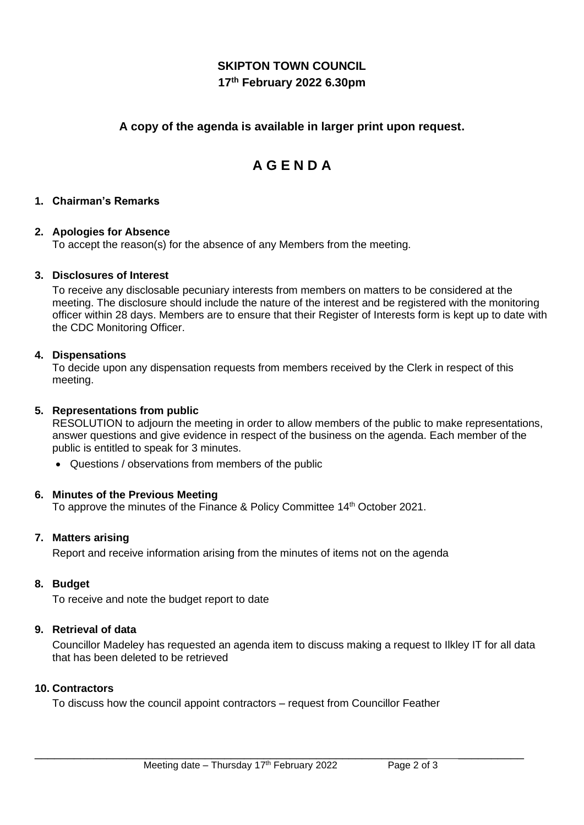# **SKIPTON TOWN COUNCIL 17 th February 2022 6.30pm**

## **A copy of the agenda is available in larger print upon request.**

# **A G E N D A**

#### **1. Chairman's Remarks**

#### **2. Apologies for Absence**

To accept the reason(s) for the absence of any Members from the meeting.

#### **3. Disclosures of Interest**

To receive any disclosable pecuniary interests from members on matters to be considered at the meeting. The disclosure should include the nature of the interest and be registered with the monitoring officer within 28 days. Members are to ensure that their Register of Interests form is kept up to date with the CDC Monitoring Officer.

#### **4. Dispensations**

To decide upon any dispensation requests from members received by the Clerk in respect of this meeting.

#### **5. Representations from public**

RESOLUTION to adjourn the meeting in order to allow members of the public to make representations, answer questions and give evidence in respect of the business on the agenda. Each member of the public is entitled to speak for 3 minutes.

• Questions / observations from members of the public

#### **6. Minutes of the Previous Meeting**

To approve the minutes of the Finance & Policy Committee 14<sup>th</sup> October 2021.

#### **7. Matters arising**

Report and receive information arising from the minutes of items not on the agenda

#### **8. Budget**

To receive and note the budget report to date

#### **9. Retrieval of data**

Councillor Madeley has requested an agenda item to discuss making a request to Ilkley IT for all data that has been deleted to be retrieved

\_\_\_\_\_\_\_\_\_\_\_\_\_\_\_\_\_\_\_\_\_\_\_\_\_\_\_\_\_\_\_\_\_\_\_\_\_\_\_\_\_\_\_\_\_\_\_\_\_\_\_\_\_\_\_\_\_\_\_\_ \_\_\_\_\_\_\_\_\_\_

#### **10. Contractors**

To discuss how the council appoint contractors – request from Councillor Feather